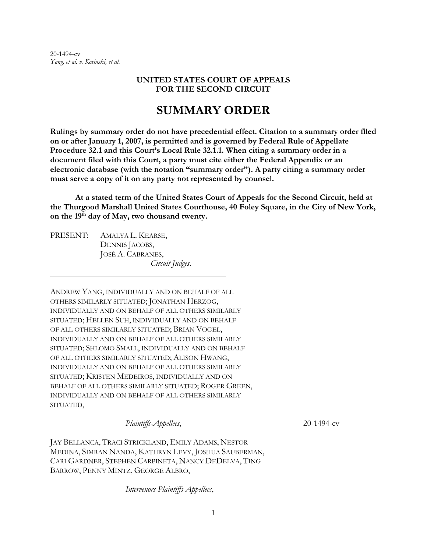20-1494-cv *Yang, et al. v. Kosinski, et al.*

#### **UNITED STATES COURT OF APPEALS FOR THE SECOND CIRCUIT**

# **SUMMARY ORDER**

**Rulings by summary order do not have precedential effect. Citation to a summary order filed on or after January 1, 2007, is permitted and is governed by Federal Rule of Appellate Procedure 32.1 and this Court's Local Rule 32.1.1. When citing a summary order in a document filed with this Court, a party must cite either the Federal Appendix or an electronic database (with the notation "summary order"). A party citing a summary order must serve a copy of it on any party not represented by counsel.**

**At a stated term of the United States Court of Appeals for the Second Circuit, held at the Thurgood Marshall United States Courthouse, 40 Foley Square, in the City of New York, on the 19th day of May, two thousand twenty.**

PRESENT: AMALYA L. KEARSE, DENNIS JACOBS, JOSÉ A. CABRANES, *Circuit Judges*.

ANDREW YANG, INDIVIDUALLY AND ON BEHALF OF ALL OTHERS SIMILARLY SITUATED; JONATHAN HERZOG, INDIVIDUALLY AND ON BEHALF OF ALL OTHERS SIMILARLY SITUATED; HELLEN SUH, INDIVIDUALLY AND ON BEHALF OF ALL OTHERS SIMILARLY SITUATED; BRIAN VOGEL, INDIVIDUALLY AND ON BEHALF OF ALL OTHERS SIMILARLY SITUATED; SHLOMO SMALL, INDIVIDUALLY AND ON BEHALF OF ALL OTHERS SIMILARLY SITUATED; ALISON HWANG, INDIVIDUALLY AND ON BEHALF OF ALL OTHERS SIMILARLY SITUATED; KRISTEN MEDEIROS, INDIVIDUALLY AND ON BEHALF OF ALL OTHERS SIMILARLY SITUATED; ROGER GREEN, INDIVIDUALLY AND ON BEHALF OF ALL OTHERS SIMILARLY SITUATED,

*Plaintiffs-Appellees*, 20-1494-cv

JAY BELLANCA, TRACI STRICKLAND, EMILY ADAMS, NESTOR MEDINA, SIMRAN NANDA, KATHRYN LEVY, JOSHUA SAUBERMAN, CARI GARDNER, STEPHEN CARPINETA, NANCY DEDELVA, TING BARROW, PENNY MINTZ, GEORGE ALBRO,

*Intervenors-Plaintiffs-Appellees*,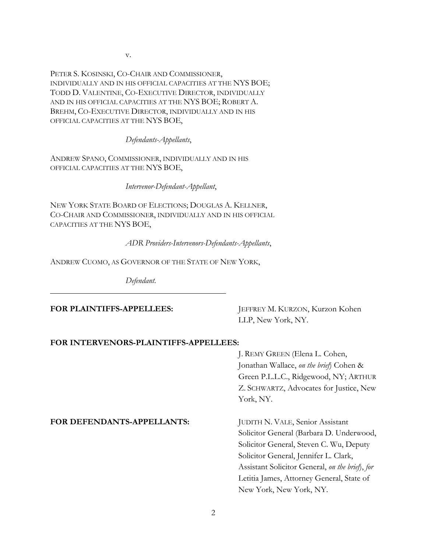PETER S. KOSINSKI, CO-CHAIR AND COMMISSIONER, INDIVIDUALLY AND IN HIS OFFICIAL CAPACITIES AT THE NYS BOE; TODD D. VALENTINE, CO-EXECUTIVE DIRECTOR, INDIVIDUALLY AND IN HIS OFFICIAL CAPACITIES AT THE NYS BOE; ROBERT A. BREHM, CO-EXECUTIVE DIRECTOR, INDIVIDUALLY AND IN HIS OFFICIAL CAPACITIES AT THE NYS BOE,

*Defendants-Appellants*,

ANDREW SPANO, COMMISSIONER, INDIVIDUALLY AND IN HIS OFFICIAL CAPACITIES AT THE NYS BOE,

*Intervenor-Defendant-Appellant*,

NEW YORK STATE BOARD OF ELECTIONS; DOUGLAS A. KELLNER, CO-CHAIR AND COMMISSIONER, INDIVIDUALLY AND IN HIS OFFICIAL CAPACITIES AT THE NYS BOE,

*ADR Providers-Intervenors-Defendants-Appellants*,

ANDREW CUOMO, AS GOVERNOR OF THE STATE OF NEW YORK,

*Defendant*.

FOR PLAINTIFFS-APPELLEES: JEFFREY M. KURZON, Kurzon Kohen LLP, New York, NY.

#### **FOR INTERVENORS-PLAINTIFFS-APPELLEES:**

J. REMY GREEN (Elena L. Cohen, Jonathan Wallace, *on the brief*) Cohen & Green P.L.L.C., Ridgewood, NY; ARTHUR Z. SCHWARTZ, Advocates for Justice, New York, NY.

#### FOR DEFENDANTS-APPELLANTS: JUDITH N. VALE, Senior Assistant

Solicitor General (Barbara D. Underwood, Solicitor General, Steven C. Wu, Deputy Solicitor General, Jennifer L. Clark, Assistant Solicitor General, *on the brief*), *for*  Letitia James, Attorney General, State of New York, New York, NY.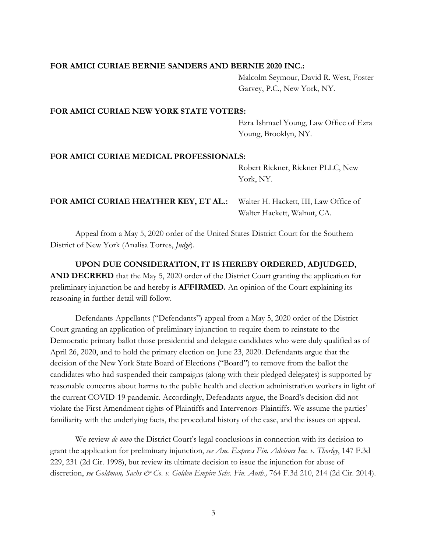#### **FOR AMICI CURIAE BERNIE SANDERS AND BERNIE 2020 INC.:**

Malcolm Seymour, David R. West, Foster Garvey, P.C., New York, NY.

#### **FOR AMICI CURIAE NEW YORK STATE VOTERS:**

Ezra Ishmael Young, Law Office of Ezra Young, Brooklyn, NY.

## **FOR AMICI CURIAE MEDICAL PROFESSIONALS:**

Robert Rickner, Rickner PLLC, New York, NY.

# **FOR AMICI CURIAE HEATHER KEY, ET AL.:** Walter H. Hackett, III, Law Office of

Walter Hackett, Walnut, CA.

Appeal from a May 5, 2020 order of the United States District Court for the Southern District of New York (Analisa Torres, *Judge*).

**UPON DUE CONSIDERATION, IT IS HEREBY ORDERED, ADJUDGED, AND DECREED** that the May 5, 2020 order of the District Court granting the application for preliminary injunction be and hereby is **AFFIRMED.** An opinion of the Court explaining its reasoning in further detail will follow.

Defendants-Appellants ("Defendants") appeal from a May 5, 2020 order of the District Court granting an application of preliminary injunction to require them to reinstate to the Democratic primary ballot those presidential and delegate candidates who were duly qualified as of April 26, 2020, and to hold the primary election on June 23, 2020. Defendants argue that the decision of the New York State Board of Elections ("Board") to remove from the ballot the candidates who had suspended their campaigns (along with their pledged delegates) is supported by reasonable concerns about harms to the public health and election administration workers in light of the current COVID-19 pandemic. Accordingly, Defendants argue, the Board's decision did not violate the First Amendment rights of Plaintiffs and Intervenors-Plaintiffs. We assume the parties' familiarity with the underlying facts, the procedural history of the case, and the issues on appeal.

We review *de novo* the District Court's legal conclusions in connection with its decision to grant the application for preliminary injunction, *see Am. Express Fin. Advisors Inc. v. Thorley*, 147 F.3d 229, 231 (2d Cir. 1998), but review its ultimate decision to issue the injunction for abuse of discretion, *see Goldman, Sachs & Co. v. Golden Empire Schs. Fin. Auth.,* 764 F.3d 210, 214 (2d Cir. 2014).